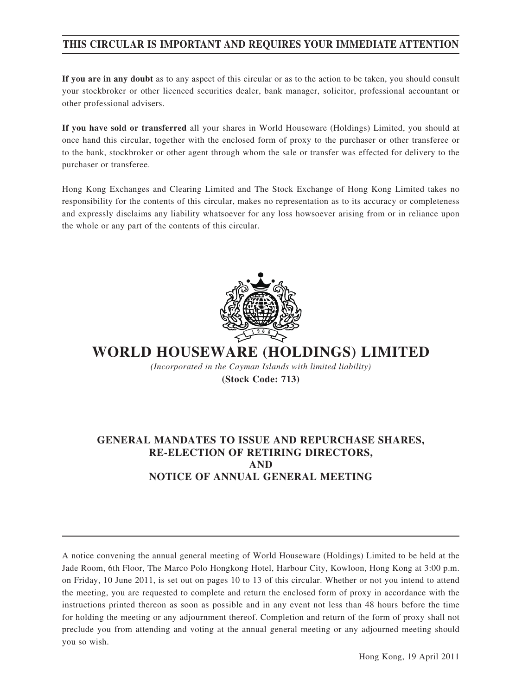## **THIS CIRCULAR IS IMPORTANT AND REQUIRES YOUR IMMEDIATE ATTENTION**

**If you are in any doubt** as to any aspect of this circular or as to the action to be taken, you should consult your stockbroker or other licenced securities dealer, bank manager, solicitor, professional accountant or other professional advisers.

**If you have sold or transferred** all your shares in World Houseware (Holdings) Limited, you should at once hand this circular, together with the enclosed form of proxy to the purchaser or other transferee or to the bank, stockbroker or other agent through whom the sale or transfer was effected for delivery to the purchaser or transferee.

Hong Kong Exchanges and Clearing Limited and The Stock Exchange of Hong Kong Limited takes no responsibility for the contents of this circular, makes no representation as to its accuracy or completeness and expressly disclaims any liability whatsoever for any loss howsoever arising from or in reliance upon the whole or any part of the contents of this circular.



**WORLD HOUSEWARE (HOLDINGS) LIMITED**

*(Incorporated in the Cayman Islands with limited liability)* **(Stock Code: 713)**

## **GENERAL MANDATES TO ISSUE AND REPURCHASE SHARES, RE-ELECTION OF RETIRING DIRECTORS, AND NOTICE OF ANNUAL GENERAL MEETING**

A notice convening the annual general meeting of World Houseware (Holdings) Limited to be held at the Jade Room, 6th Floor, The Marco Polo Hongkong Hotel, Harbour City, Kowloon, Hong Kong at 3:00 p.m. on Friday, 10 June 2011, is set out on pages 10 to 13 of this circular. Whether or not you intend to attend the meeting, you are requested to complete and return the enclosed form of proxy in accordance with the instructions printed thereon as soon as possible and in any event not less than 48 hours before the time for holding the meeting or any adjournment thereof. Completion and return of the form of proxy shall not preclude you from attending and voting at the annual general meeting or any adjourned meeting should you so wish.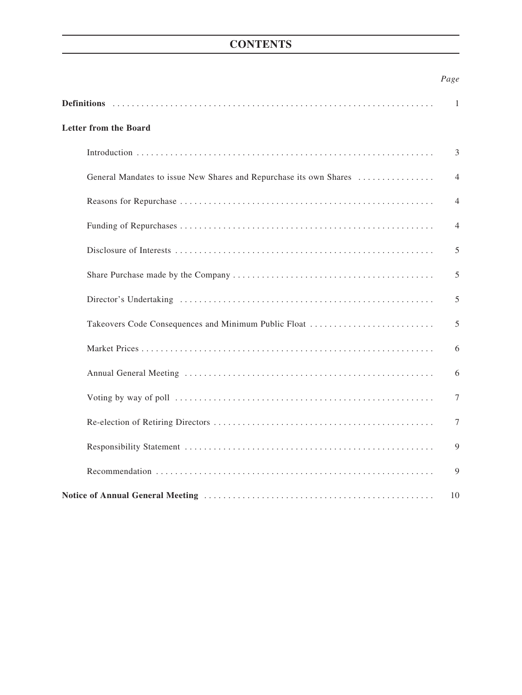## **CONTENTS**

## *Page*

|                                                                    | 1              |
|--------------------------------------------------------------------|----------------|
| <b>Letter from the Board</b>                                       |                |
|                                                                    | 3              |
| General Mandates to issue New Shares and Repurchase its own Shares | $\overline{4}$ |
|                                                                    | $\overline{4}$ |
|                                                                    | $\overline{4}$ |
|                                                                    | 5              |
|                                                                    | 5              |
|                                                                    | 5              |
| Takeovers Code Consequences and Minimum Public Float               | 5              |
|                                                                    | 6              |
|                                                                    | 6              |
|                                                                    | 7              |
|                                                                    | 7              |
|                                                                    | 9              |
|                                                                    | 9              |
|                                                                    | 10             |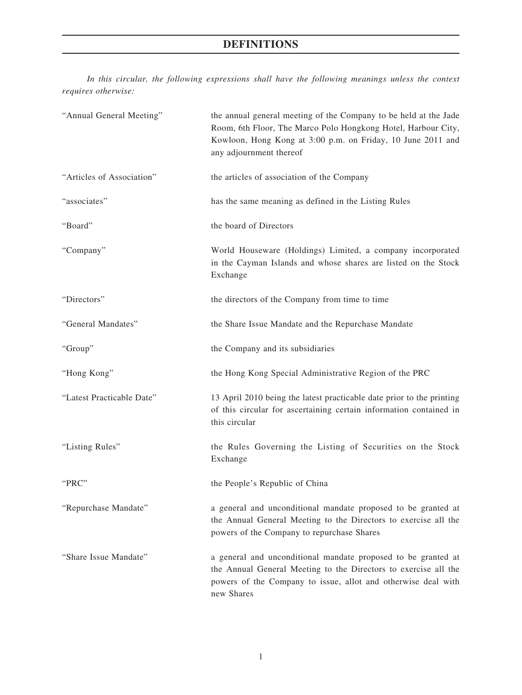# **DEFINITIONS**

*In this circular, the following expressions shall have the following meanings unless the context requires otherwise:*

| "Annual General Meeting"  | the annual general meeting of the Company to be held at the Jade<br>Room, 6th Floor, The Marco Polo Hongkong Hotel, Harbour City,<br>Kowloon, Hong Kong at 3:00 p.m. on Friday, 10 June 2011 and<br>any adjournment thereof |
|---------------------------|-----------------------------------------------------------------------------------------------------------------------------------------------------------------------------------------------------------------------------|
| "Articles of Association" | the articles of association of the Company                                                                                                                                                                                  |
| "associates"              | has the same meaning as defined in the Listing Rules                                                                                                                                                                        |
| "Board"                   | the board of Directors                                                                                                                                                                                                      |
| "Company"                 | World Houseware (Holdings) Limited, a company incorporated<br>in the Cayman Islands and whose shares are listed on the Stock<br>Exchange                                                                                    |
| "Directors"               | the directors of the Company from time to time                                                                                                                                                                              |
| "General Mandates"        | the Share Issue Mandate and the Repurchase Mandate                                                                                                                                                                          |
| "Group"                   | the Company and its subsidiaries                                                                                                                                                                                            |
| "Hong Kong"               | the Hong Kong Special Administrative Region of the PRC                                                                                                                                                                      |
| "Latest Practicable Date" | 13 April 2010 being the latest practicable date prior to the printing<br>of this circular for ascertaining certain information contained in<br>this circular                                                                |
| "Listing Rules"           | the Rules Governing the Listing of Securities on the Stock<br>Exchange                                                                                                                                                      |
| "PRC"                     | the People's Republic of China                                                                                                                                                                                              |
| "Repurchase Mandate"      | a general and unconditional mandate proposed to be granted at<br>the Annual General Meeting to the Directors to exercise all the<br>powers of the Company to repurchase Shares                                              |
| "Share Issue Mandate"     | a general and unconditional mandate proposed to be granted at<br>the Annual General Meeting to the Directors to exercise all the<br>powers of the Company to issue, allot and otherwise deal with<br>new Shares             |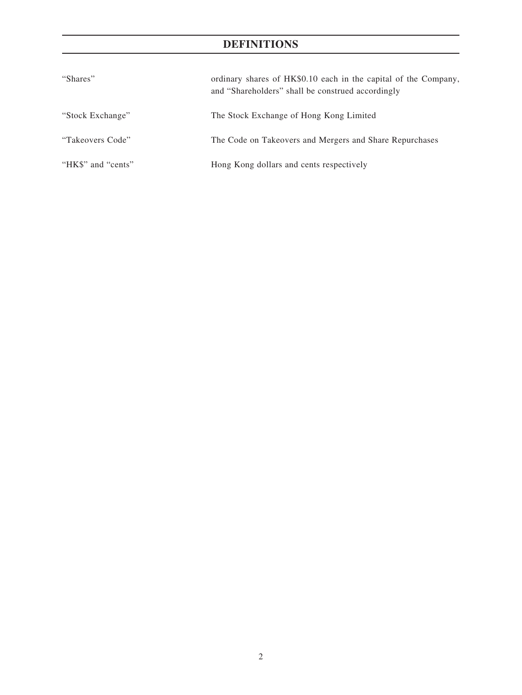# **DEFINITIONS**

| "Shares"           | ordinary shares of HK\$0.10 each in the capital of the Company,<br>and "Shareholders" shall be construed accordingly |  |
|--------------------|----------------------------------------------------------------------------------------------------------------------|--|
| "Stock Exchange"   | The Stock Exchange of Hong Kong Limited                                                                              |  |
| "Takeovers Code"   | The Code on Takeovers and Mergers and Share Repurchases                                                              |  |
| "HK\$" and "cents" | Hong Kong dollars and cents respectively                                                                             |  |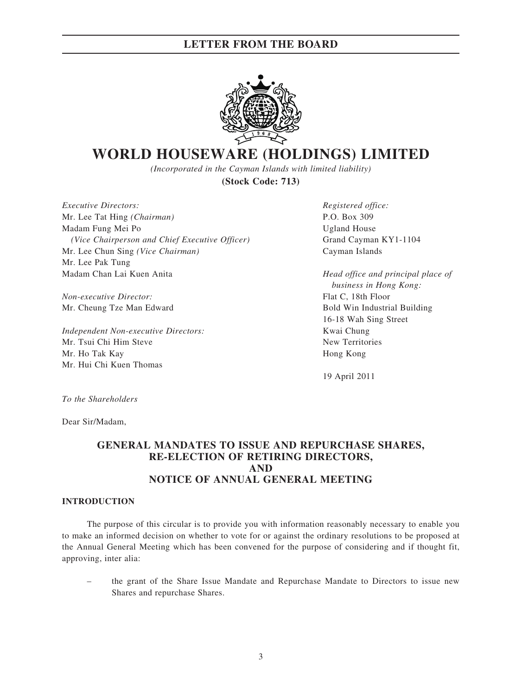

# **WORLD HOUSEWARE (HOLDINGS) LIMITED**

*(Incorporated in the Cayman Islands with limited liability)* **(Stock Code: 713)**

*Executive Directors: Registered office:* Mr. Lee Tat Hing *(Chairman)* P.O. Box 309 Madam Fung Mei Po Ugland House *(Vice Chairperson and Chief Executive Officer)* **Grand Cayman KY1-1104** Mr. Lee Chun Sing *(Vice Chairman)* Cayman Islands Mr. Lee Pak Tung Madam Chan Lai Kuen Anita *Head office and principal place of*

*Non-executive Director:* Flat C, 18th Floor

*Independent Non-executive Directors:* Kwai Chung Mr. Tsui Chi Him Steve New Territories Mr. Ho Tak Kay Hong Kong Mr. Hui Chi Kuen Thomas

 *business in Hong Kong:* Mr. Cheung Tze Man Edward Bold Win Industrial Building 16-18 Wah Sing Street

19 April 2011

*To the Shareholders*

Dear Sir/Madam,

### **GENERAL MANDATES TO ISSUE AND REPURCHASE SHARES, RE-ELECTION OF RETIRING DIRECTORS, AND NOTICE OF ANNUAL GENERAL MEETING**

#### **INTRODUCTION**

The purpose of this circular is to provide you with information reasonably necessary to enable you to make an informed decision on whether to vote for or against the ordinary resolutions to be proposed at the Annual General Meeting which has been convened for the purpose of considering and if thought fit, approving, inter alia:

– the grant of the Share Issue Mandate and Repurchase Mandate to Directors to issue new Shares and repurchase Shares.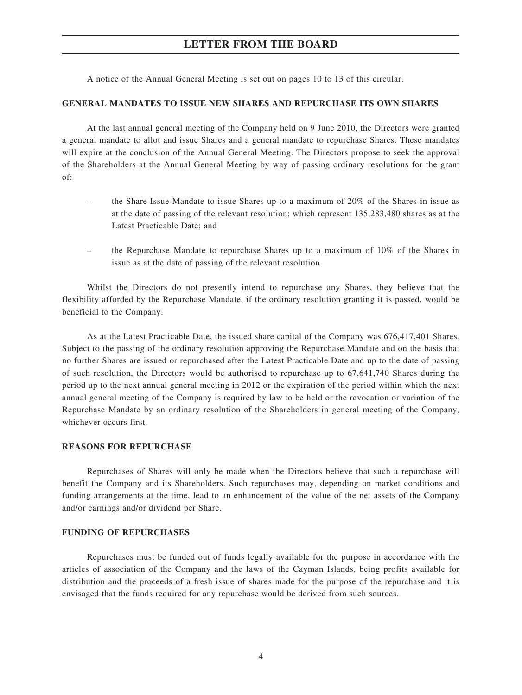A notice of the Annual General Meeting is set out on pages 10 to 13 of this circular.

#### **GENERAL MANDATES TO ISSUE NEW SHARES AND REPURCHASE ITS OWN SHARES**

At the last annual general meeting of the Company held on 9 June 2010, the Directors were granted a general mandate to allot and issue Shares and a general mandate to repurchase Shares. These mandates will expire at the conclusion of the Annual General Meeting. The Directors propose to seek the approval of the Shareholders at the Annual General Meeting by way of passing ordinary resolutions for the grant of:

- the Share Issue Mandate to issue Shares up to a maximum of 20% of the Shares in issue as at the date of passing of the relevant resolution; which represent 135,283,480 shares as at the Latest Practicable Date; and
- the Repurchase Mandate to repurchase Shares up to a maximum of 10% of the Shares in issue as at the date of passing of the relevant resolution.

Whilst the Directors do not presently intend to repurchase any Shares, they believe that the flexibility afforded by the Repurchase Mandate, if the ordinary resolution granting it is passed, would be beneficial to the Company.

As at the Latest Practicable Date, the issued share capital of the Company was 676,417,401 Shares. Subject to the passing of the ordinary resolution approving the Repurchase Mandate and on the basis that no further Shares are issued or repurchased after the Latest Practicable Date and up to the date of passing of such resolution, the Directors would be authorised to repurchase up to 67,641,740 Shares during the period up to the next annual general meeting in 2012 or the expiration of the period within which the next annual general meeting of the Company is required by law to be held or the revocation or variation of the Repurchase Mandate by an ordinary resolution of the Shareholders in general meeting of the Company, whichever occurs first.

#### **REASONS FOR REPURCHASE**

Repurchases of Shares will only be made when the Directors believe that such a repurchase will benefit the Company and its Shareholders. Such repurchases may, depending on market conditions and funding arrangements at the time, lead to an enhancement of the value of the net assets of the Company and/or earnings and/or dividend per Share.

#### **FUNDING OF REPURCHASES**

Repurchases must be funded out of funds legally available for the purpose in accordance with the articles of association of the Company and the laws of the Cayman Islands, being profits available for distribution and the proceeds of a fresh issue of shares made for the purpose of the repurchase and it is envisaged that the funds required for any repurchase would be derived from such sources.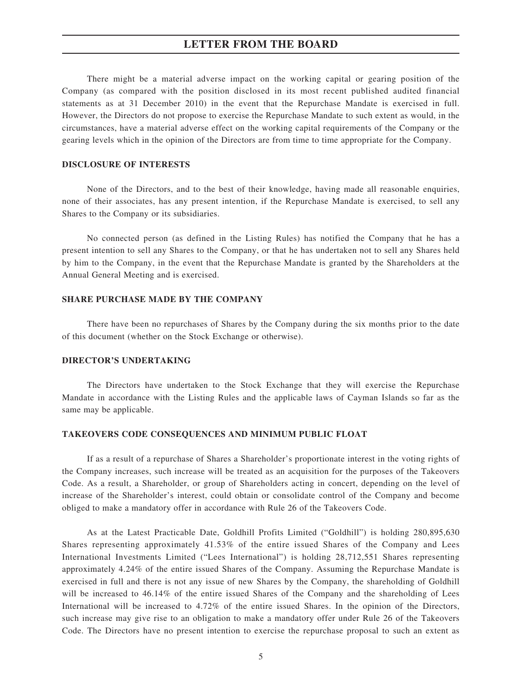There might be a material adverse impact on the working capital or gearing position of the Company (as compared with the position disclosed in its most recent published audited financial statements as at 31 December 2010) in the event that the Repurchase Mandate is exercised in full. However, the Directors do not propose to exercise the Repurchase Mandate to such extent as would, in the circumstances, have a material adverse effect on the working capital requirements of the Company or the gearing levels which in the opinion of the Directors are from time to time appropriate for the Company.

#### **DISCLOSURE OF INTERESTS**

None of the Directors, and to the best of their knowledge, having made all reasonable enquiries, none of their associates, has any present intention, if the Repurchase Mandate is exercised, to sell any Shares to the Company or its subsidiaries.

No connected person (as defined in the Listing Rules) has notified the Company that he has a present intention to sell any Shares to the Company, or that he has undertaken not to sell any Shares held by him to the Company, in the event that the Repurchase Mandate is granted by the Shareholders at the Annual General Meeting and is exercised.

#### **SHARE PURCHASE MADE BY THE COMPANY**

There have been no repurchases of Shares by the Company during the six months prior to the date of this document (whether on the Stock Exchange or otherwise).

#### **DIRECTOR'S UNDERTAKING**

The Directors have undertaken to the Stock Exchange that they will exercise the Repurchase Mandate in accordance with the Listing Rules and the applicable laws of Cayman Islands so far as the same may be applicable.

#### **TAKEOVERS CODE CONSEQUENCES AND MINIMUM PUBLIC FLOAT**

If as a result of a repurchase of Shares a Shareholder's proportionate interest in the voting rights of the Company increases, such increase will be treated as an acquisition for the purposes of the Takeovers Code. As a result, a Shareholder, or group of Shareholders acting in concert, depending on the level of increase of the Shareholder's interest, could obtain or consolidate control of the Company and become obliged to make a mandatory offer in accordance with Rule 26 of the Takeovers Code.

As at the Latest Practicable Date, Goldhill Profits Limited ("Goldhill") is holding 280,895,630 Shares representing approximately 41.53% of the entire issued Shares of the Company and Lees International Investments Limited ("Lees International") is holding 28,712,551 Shares representing approximately 4.24% of the entire issued Shares of the Company. Assuming the Repurchase Mandate is exercised in full and there is not any issue of new Shares by the Company, the shareholding of Goldhill will be increased to 46.14% of the entire issued Shares of the Company and the shareholding of Lees International will be increased to 4.72% of the entire issued Shares. In the opinion of the Directors, such increase may give rise to an obligation to make a mandatory offer under Rule 26 of the Takeovers Code. The Directors have no present intention to exercise the repurchase proposal to such an extent as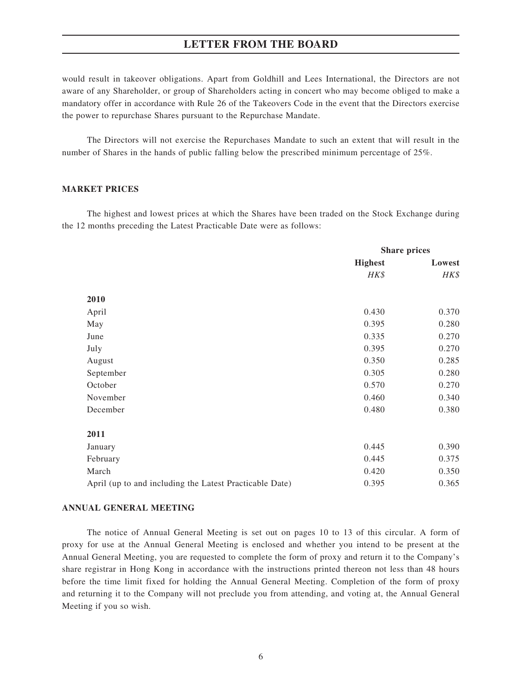would result in takeover obligations. Apart from Goldhill and Lees International, the Directors are not aware of any Shareholder, or group of Shareholders acting in concert who may become obliged to make a mandatory offer in accordance with Rule 26 of the Takeovers Code in the event that the Directors exercise the power to repurchase Shares pursuant to the Repurchase Mandate.

The Directors will not exercise the Repurchases Mandate to such an extent that will result in the number of Shares in the hands of public falling below the prescribed minimum percentage of 25%.

#### **MARKET PRICES**

The highest and lowest prices at which the Shares have been traded on the Stock Exchange during the 12 months preceding the Latest Practicable Date were as follows:

|                                                         | <b>Share prices</b> |        |
|---------------------------------------------------------|---------------------|--------|
|                                                         | <b>Highest</b>      | Lowest |
|                                                         | HK\$                | HK\$   |
| 2010                                                    |                     |        |
|                                                         |                     |        |
| April                                                   | 0.430               | 0.370  |
| May                                                     | 0.395               | 0.280  |
| June                                                    | 0.335               | 0.270  |
| July                                                    | 0.395               | 0.270  |
| August                                                  | 0.350               | 0.285  |
| September                                               | 0.305               | 0.280  |
| October                                                 | 0.570               | 0.270  |
| November                                                | 0.460               | 0.340  |
| December                                                | 0.480               | 0.380  |
| 2011                                                    |                     |        |
| January                                                 | 0.445               | 0.390  |
| February                                                | 0.445               | 0.375  |
| March                                                   | 0.420               | 0.350  |
| April (up to and including the Latest Practicable Date) | 0.395               | 0.365  |

#### **ANNUAL GENERAL MEETING**

The notice of Annual General Meeting is set out on pages 10 to 13 of this circular. A form of proxy for use at the Annual General Meeting is enclosed and whether you intend to be present at the Annual General Meeting, you are requested to complete the form of proxy and return it to the Company's share registrar in Hong Kong in accordance with the instructions printed thereon not less than 48 hours before the time limit fixed for holding the Annual General Meeting. Completion of the form of proxy and returning it to the Company will not preclude you from attending, and voting at, the Annual General Meeting if you so wish.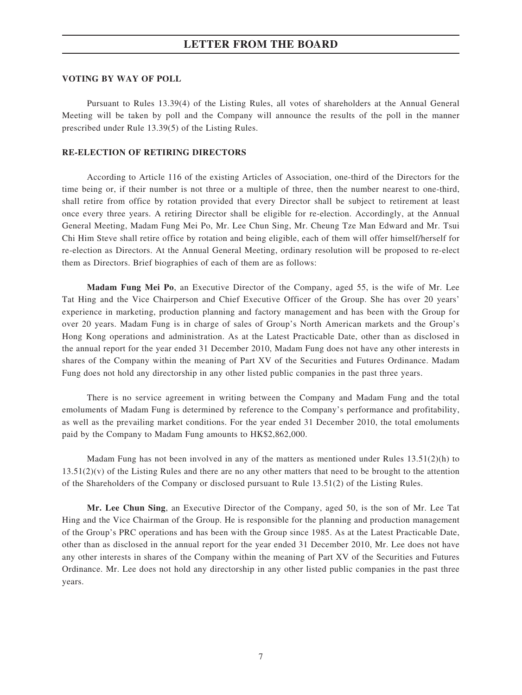#### **VOTING BY WAY OF POLL**

Pursuant to Rules 13.39(4) of the Listing Rules, all votes of shareholders at the Annual General Meeting will be taken by poll and the Company will announce the results of the poll in the manner prescribed under Rule 13.39(5) of the Listing Rules.

#### **RE-ELECTION OF RETIRING DIRECTORS**

According to Article 116 of the existing Articles of Association, one-third of the Directors for the time being or, if their number is not three or a multiple of three, then the number nearest to one-third, shall retire from office by rotation provided that every Director shall be subject to retirement at least once every three years. A retiring Director shall be eligible for re-election. Accordingly, at the Annual General Meeting, Madam Fung Mei Po, Mr. Lee Chun Sing, Mr. Cheung Tze Man Edward and Mr. Tsui Chi Him Steve shall retire office by rotation and being eligible, each of them will offer himself/herself for re-election as Directors. At the Annual General Meeting, ordinary resolution will be proposed to re-elect them as Directors. Brief biographies of each of them are as follows:

**Madam Fung Mei Po**, an Executive Director of the Company, aged 55, is the wife of Mr. Lee Tat Hing and the Vice Chairperson and Chief Executive Officer of the Group. She has over 20 years' experience in marketing, production planning and factory management and has been with the Group for over 20 years. Madam Fung is in charge of sales of Group's North American markets and the Group's Hong Kong operations and administration. As at the Latest Practicable Date, other than as disclosed in the annual report for the year ended 31 December 2010, Madam Fung does not have any other interests in shares of the Company within the meaning of Part XV of the Securities and Futures Ordinance. Madam Fung does not hold any directorship in any other listed public companies in the past three years.

There is no service agreement in writing between the Company and Madam Fung and the total emoluments of Madam Fung is determined by reference to the Company's performance and profitability, as well as the prevailing market conditions. For the year ended 31 December 2010, the total emoluments paid by the Company to Madam Fung amounts to HK\$2,862,000.

Madam Fung has not been involved in any of the matters as mentioned under Rules  $13.51(2)(h)$  to  $13.51(2)(v)$  of the Listing Rules and there are no any other matters that need to be brought to the attention of the Shareholders of the Company or disclosed pursuant to Rule 13.51(2) of the Listing Rules.

**Mr. Lee Chun Sing**, an Executive Director of the Company, aged 50, is the son of Mr. Lee Tat Hing and the Vice Chairman of the Group. He is responsible for the planning and production management of the Group's PRC operations and has been with the Group since 1985. As at the Latest Practicable Date, other than as disclosed in the annual report for the year ended 31 December 2010, Mr. Lee does not have any other interests in shares of the Company within the meaning of Part XV of the Securities and Futures Ordinance. Mr. Lee does not hold any directorship in any other listed public companies in the past three years.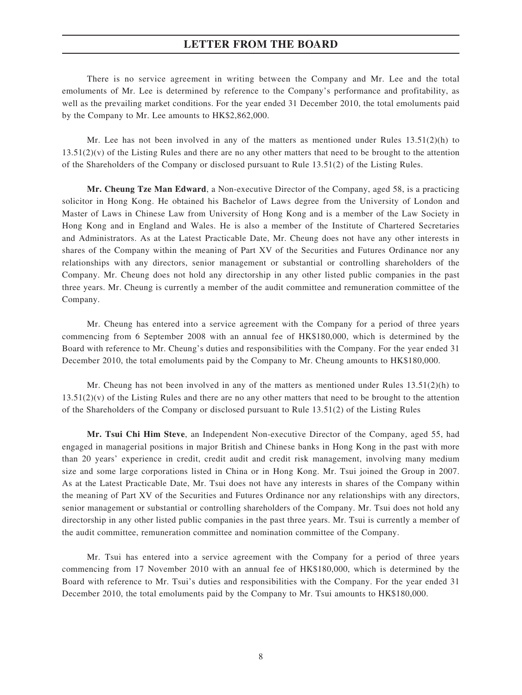There is no service agreement in writing between the Company and Mr. Lee and the total emoluments of Mr. Lee is determined by reference to the Company's performance and profitability, as well as the prevailing market conditions. For the year ended 31 December 2010, the total emoluments paid by the Company to Mr. Lee amounts to HK\$2,862,000.

Mr. Lee has not been involved in any of the matters as mentioned under Rules  $13.51(2)$ (h) to  $13.51(2)(v)$  of the Listing Rules and there are no any other matters that need to be brought to the attention of the Shareholders of the Company or disclosed pursuant to Rule 13.51(2) of the Listing Rules.

**Mr. Cheung Tze Man Edward**, a Non-executive Director of the Company, aged 58, is a practicing solicitor in Hong Kong. He obtained his Bachelor of Laws degree from the University of London and Master of Laws in Chinese Law from University of Hong Kong and is a member of the Law Society in Hong Kong and in England and Wales. He is also a member of the Institute of Chartered Secretaries and Administrators. As at the Latest Practicable Date, Mr. Cheung does not have any other interests in shares of the Company within the meaning of Part XV of the Securities and Futures Ordinance nor any relationships with any directors, senior management or substantial or controlling shareholders of the Company. Mr. Cheung does not hold any directorship in any other listed public companies in the past three years. Mr. Cheung is currently a member of the audit committee and remuneration committee of the Company.

Mr. Cheung has entered into a service agreement with the Company for a period of three years commencing from 6 September 2008 with an annual fee of HK\$180,000, which is determined by the Board with reference to Mr. Cheung's duties and responsibilities with the Company. For the year ended 31 December 2010, the total emoluments paid by the Company to Mr. Cheung amounts to HK\$180,000.

Mr. Cheung has not been involved in any of the matters as mentioned under Rules  $13.51(2)(h)$  to  $13.51(2)(v)$  of the Listing Rules and there are no any other matters that need to be brought to the attention of the Shareholders of the Company or disclosed pursuant to Rule 13.51(2) of the Listing Rules

**Mr. Tsui Chi Him Steve**, an Independent Non-executive Director of the Company, aged 55, had engaged in managerial positions in major British and Chinese banks in Hong Kong in the past with more than 20 years' experience in credit, credit audit and credit risk management, involving many medium size and some large corporations listed in China or in Hong Kong. Mr. Tsui joined the Group in 2007. As at the Latest Practicable Date, Mr. Tsui does not have any interests in shares of the Company within the meaning of Part XV of the Securities and Futures Ordinance nor any relationships with any directors, senior management or substantial or controlling shareholders of the Company. Mr. Tsui does not hold any directorship in any other listed public companies in the past three years. Mr. Tsui is currently a member of the audit committee, remuneration committee and nomination committee of the Company.

Mr. Tsui has entered into a service agreement with the Company for a period of three years commencing from 17 November 2010 with an annual fee of HK\$180,000, which is determined by the Board with reference to Mr. Tsui's duties and responsibilities with the Company. For the year ended 31 December 2010, the total emoluments paid by the Company to Mr. Tsui amounts to HK\$180,000.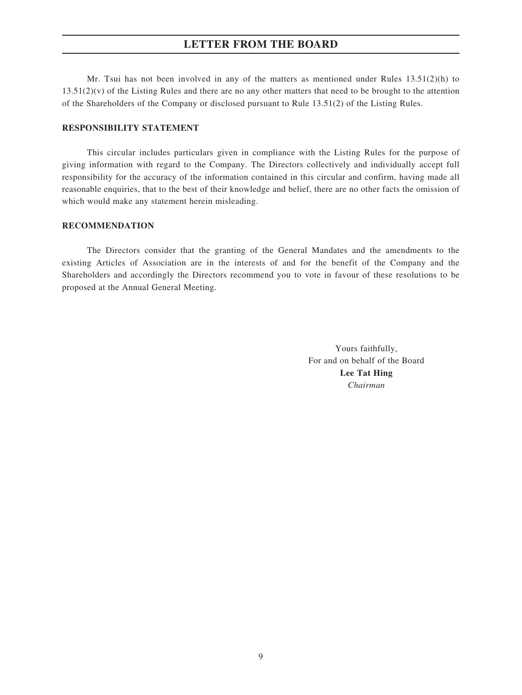Mr. Tsui has not been involved in any of the matters as mentioned under Rules  $13.51(2)(h)$  to  $13.51(2)(v)$  of the Listing Rules and there are no any other matters that need to be brought to the attention of the Shareholders of the Company or disclosed pursuant to Rule 13.51(2) of the Listing Rules.

#### **RESPONSIBILITY STATEMENT**

This circular includes particulars given in compliance with the Listing Rules for the purpose of giving information with regard to the Company. The Directors collectively and individually accept full responsibility for the accuracy of the information contained in this circular and confirm, having made all reasonable enquiries, that to the best of their knowledge and belief, there are no other facts the omission of which would make any statement herein misleading.

#### **RECOMMENDATION**

The Directors consider that the granting of the General Mandates and the amendments to the existing Articles of Association are in the interests of and for the benefit of the Company and the Shareholders and accordingly the Directors recommend you to vote in favour of these resolutions to be proposed at the Annual General Meeting.

> Yours faithfully, For and on behalf of the Board **Lee Tat Hing** *Chairman*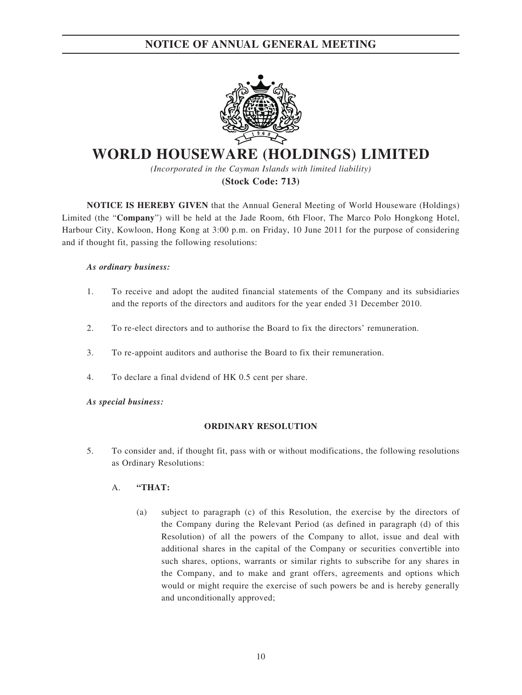## **NOTICE OF ANNUAL GENERAL MEETING**



# **WORLD HOUSEWARE (HOLDINGS) LIMITED**

*(Incorporated in the Cayman Islands with limited liability)* **(Stock Code: 713)**

**NOTICE IS HEREBY GIVEN** that the Annual General Meeting of World Houseware (Holdings) Limited (the "**Company**") will be held at the Jade Room, 6th Floor, The Marco Polo Hongkong Hotel, Harbour City, Kowloon, Hong Kong at 3:00 p.m. on Friday, 10 June 2011 for the purpose of considering and if thought fit, passing the following resolutions:

#### *As ordinary business:*

- 1. To receive and adopt the audited financial statements of the Company and its subsidiaries and the reports of the directors and auditors for the year ended 31 December 2010.
- 2. To re-elect directors and to authorise the Board to fix the directors' remuneration.
- 3. To re-appoint auditors and authorise the Board to fix their remuneration.
- 4. To declare a final dvidend of HK 0.5 cent per share.

#### *As special business:*

#### **ORDINARY RESOLUTION**

5. To consider and, if thought fit, pass with or without modifications, the following resolutions as Ordinary Resolutions:

#### A. **"THAT:**

(a) subject to paragraph (c) of this Resolution, the exercise by the directors of the Company during the Relevant Period (as defined in paragraph (d) of this Resolution) of all the powers of the Company to allot, issue and deal with additional shares in the capital of the Company or securities convertible into such shares, options, warrants or similar rights to subscribe for any shares in the Company, and to make and grant offers, agreements and options which would or might require the exercise of such powers be and is hereby generally and unconditionally approved;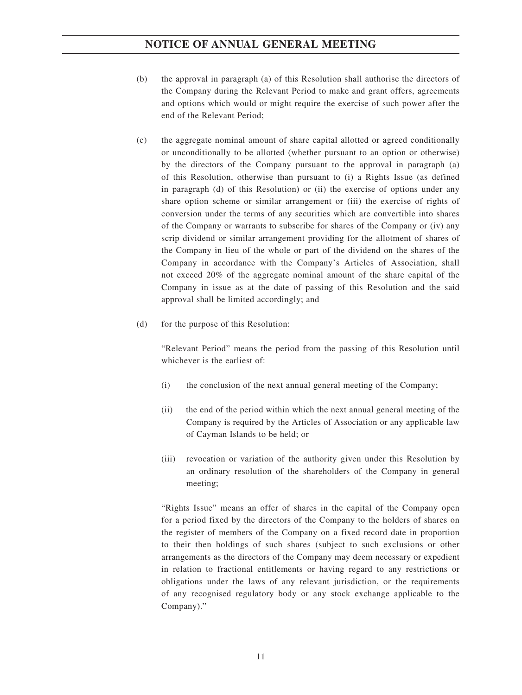- (b) the approval in paragraph (a) of this Resolution shall authorise the directors of the Company during the Relevant Period to make and grant offers, agreements and options which would or might require the exercise of such power after the end of the Relevant Period;
- (c) the aggregate nominal amount of share capital allotted or agreed conditionally or unconditionally to be allotted (whether pursuant to an option or otherwise) by the directors of the Company pursuant to the approval in paragraph (a) of this Resolution, otherwise than pursuant to (i) a Rights Issue (as defined in paragraph (d) of this Resolution) or (ii) the exercise of options under any share option scheme or similar arrangement or (iii) the exercise of rights of conversion under the terms of any securities which are convertible into shares of the Company or warrants to subscribe for shares of the Company or (iv) any scrip dividend or similar arrangement providing for the allotment of shares of the Company in lieu of the whole or part of the dividend on the shares of the Company in accordance with the Company's Articles of Association, shall not exceed 20% of the aggregate nominal amount of the share capital of the Company in issue as at the date of passing of this Resolution and the said approval shall be limited accordingly; and
- (d) for the purpose of this Resolution:

"Relevant Period" means the period from the passing of this Resolution until whichever is the earliest of:

- (i) the conclusion of the next annual general meeting of the Company;
- (ii) the end of the period within which the next annual general meeting of the Company is required by the Articles of Association or any applicable law of Cayman Islands to be held; or
- (iii) revocation or variation of the authority given under this Resolution by an ordinary resolution of the shareholders of the Company in general meeting;

"Rights Issue" means an offer of shares in the capital of the Company open for a period fixed by the directors of the Company to the holders of shares on the register of members of the Company on a fixed record date in proportion to their then holdings of such shares (subject to such exclusions or other arrangements as the directors of the Company may deem necessary or expedient in relation to fractional entitlements or having regard to any restrictions or obligations under the laws of any relevant jurisdiction, or the requirements of any recognised regulatory body or any stock exchange applicable to the Company)."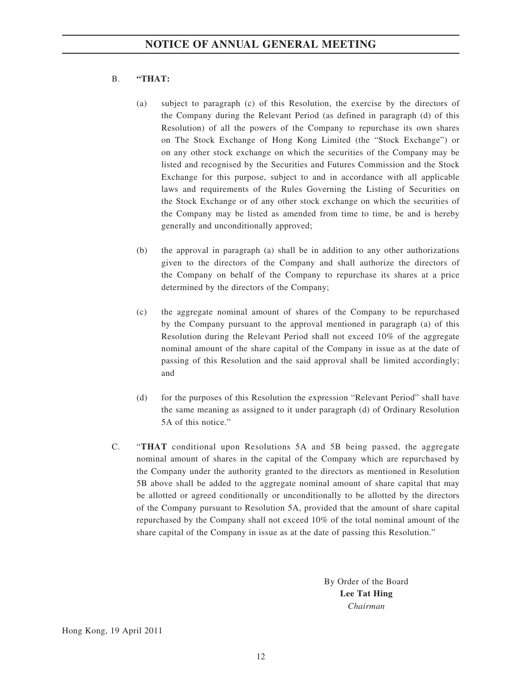#### B. **"THAT:**

- (a) subject to paragraph (c) of this Resolution, the exercise by the directors of the Company during the Relevant Period (as defined in paragraph (d) of this Resolution) of all the powers of the Company to repurchase its own shares on The Stock Exchange of Hong Kong Limited (the "Stock Exchange") or on any other stock exchange on which the securities of the Company may be listed and recognised by the Securities and Futures Commission and the Stock Exchange for this purpose, subject to and in accordance with all applicable laws and requirements of the Rules Governing the Listing of Securities on the Stock Exchange or of any other stock exchange on which the securities of the Company may be listed as amended from time to time, be and is hereby generally and unconditionally approved;
- (b) the approval in paragraph (a) shall be in addition to any other authorizations given to the directors of the Company and shall authorize the directors of the Company on behalf of the Company to repurchase its shares at a price determined by the directors of the Company;
- (c) the aggregate nominal amount of shares of the Company to be repurchased by the Company pursuant to the approval mentioned in paragraph (a) of this Resolution during the Relevant Period shall not exceed 10% of the aggregate nominal amount of the share capital of the Company in issue as at the date of passing of this Resolution and the said approval shall be limited accordingly; and
- (d) for the purposes of this Resolution the expression "Relevant Period" shall have the same meaning as assigned to it under paragraph (d) of Ordinary Resolution 5A of this notice."
- C. "**THAT** conditional upon Resolutions 5A and 5B being passed, the aggregate nominal amount of shares in the capital of the Company which are repurchased by the Company under the authority granted to the directors as mentioned in Resolution 5B above shall be added to the aggregate nominal amount of share capital that may be allotted or agreed conditionally or unconditionally to be allotted by the directors of the Company pursuant to Resolution 5A, provided that the amount of share capital repurchased by the Company shall not exceed 10% of the total nominal amount of the share capital of the Company in issue as at the date of passing this Resolution."

By Order of the Board **Lee Tat Hing** *Chairman*

Hong Kong, 19 April 2011